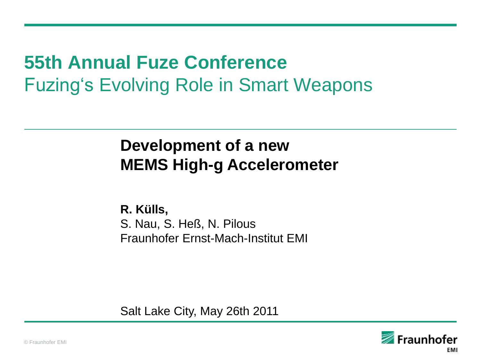# **55th Annual Fuze Conference** Fuzing"s Evolving Role in Smart Weapons

# **Development of a new MEMS High-g Accelerometer**

**R. Külls,**  S. Nau, S. Heß, N. Pilous Fraunhofer Ernst-Mach-Institut EMI

Salt Lake City, May 26th 2011

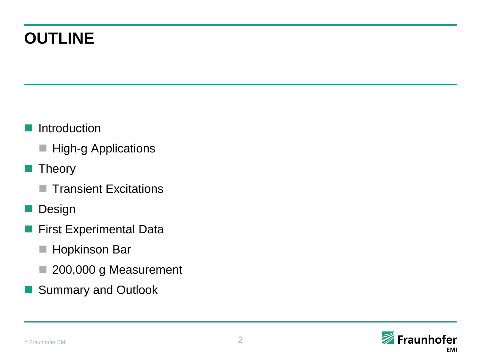# **OUTLINE**

- Introduction
	- **High-g Applications**
- **Theory** 
	- Transient Excitations
- **Design**
- **First Experimental Data** 
	- **Hopkinson Bar**
	- 200,000 g Measurement
- Summary and Outlook

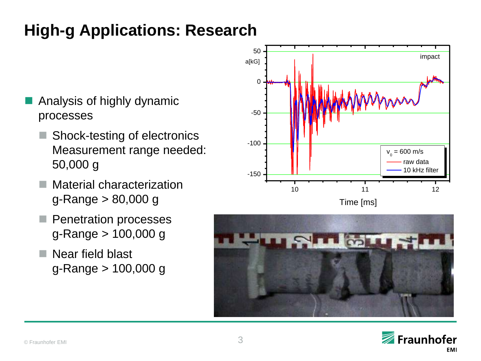# **High-g Applications: Research**

- Analysis of highly dynamic processes
	- Shock-testing of electronics Measurement range needed: 50,000 g
	- Material characterization g-Range > 80,000 g
	- **Penetration processes** g-Range > 100,000 g
	- $\blacksquare$  Near field blast g-Range > 100,000 g





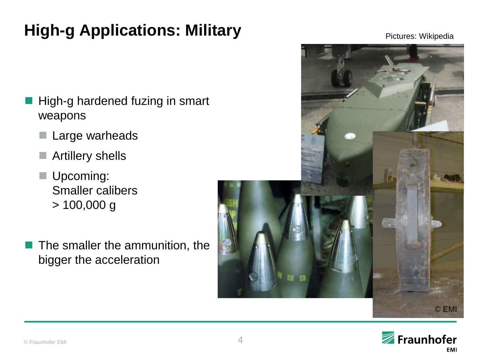# **High-g Applications: Military**

- High-g hardened fuzing in smart weapons
	- Large warheads
	- Artillery shells
	- Upcoming: Smaller calibers > 100,000 g
- The smaller the ammunition, the bigger the acceleration





Pictures: Wikipedia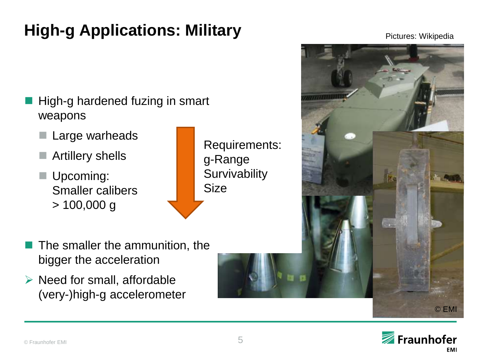# **High-g Applications: Military**

- High-g hardened fuzing in smart weapons
	- Large warheads
	- Artillery shells
	- Upcoming: Smaller calibers > 100,000 g



- The smaller the ammunition, the bigger the acceleration
- $\triangleright$  Need for small, affordable (very-)high-g accelerometer





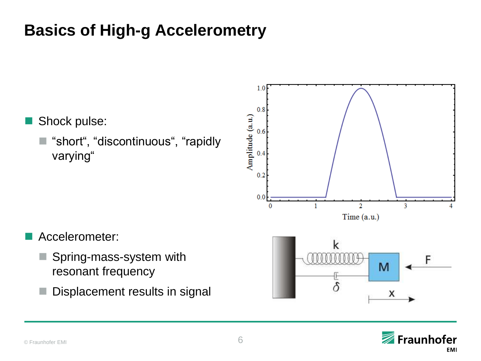# **Basics of High-g Accelerometry**

- Shock pulse:
	- "short", "discontinuous", "rapidly varying"





- Accelerometer:
	- Spring-mass-system with resonant frequency
	- Displacement results in signal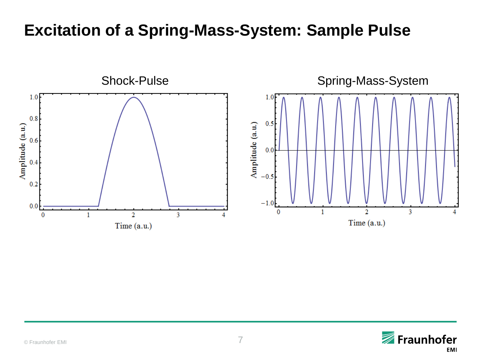### **Excitation of a Spring-Mass-System: Sample Pulse**



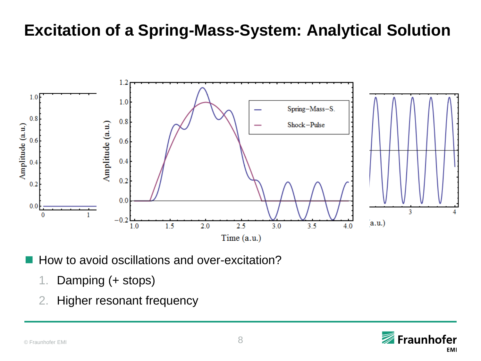### **Excitation of a Spring-Mass-System: Analytical Solution**



How to avoid oscillations and over-excitation?

- 1. Damping (+ stops)
- 2. Higher resonant frequency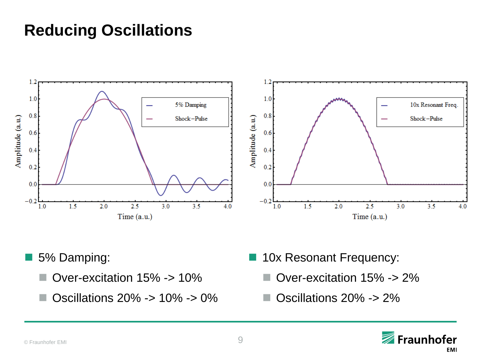### **Reducing Oscillations**



- 5% Damping:
	- Over-excitation 15% -> 10%
	- Oscillations 20% -> 10% -> 0%
- **10x Resonant Frequency:** 
	- Over-excitation 15% -> 2%
	- Oscillations 20% -> 2%

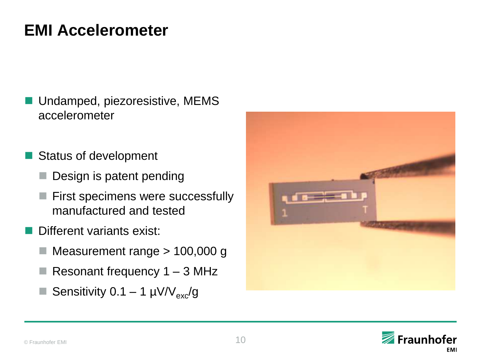## **EMI Accelerometer**

- Undamped, piezoresistive, MEMS accelerometer
- Status of development
	- Design is patent pending
	- First specimens were successfully manufactured and tested
- Different variants exist:
	- Measurement range > 100,000 g
	- Resonant frequency  $1 3$  MHz
	- Sensitivity 0.1 1  $\mu$ V/V<sub>exc</sub>/g



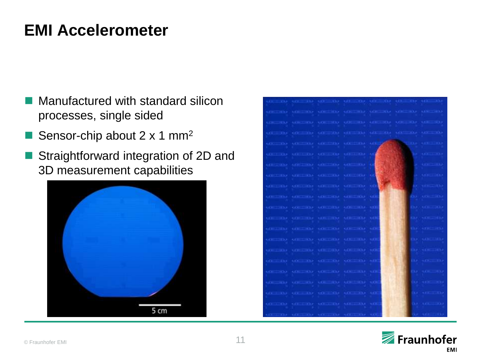### **EMI Accelerometer**

- Manufactured with standard silicon processes, single sided
- Sensor-chip about 2 x 1 mm<sup>2</sup>
- Straightforward integration of 2D and 3D measurement capabilities



| TAX AT AN AREAN AT THE TAX AFTER A CONSTRUCTION AND<br><b>LEE</b>                                                                                                                                                              |                                |
|--------------------------------------------------------------------------------------------------------------------------------------------------------------------------------------------------------------------------------|--------------------------------|
| OF BY ASSESS OF CHAIRS OF BUILDING OF THE LINE OF                                                                                                                                                                              |                                |
| CONTRACTORS AND THE CONTRACTORS OF A RELEASE OF A RELEASE OF A RELEASE OF A RELEASE OF A RELEASE OF A RELEASE OF A RELEASE OF A RELEASE OF A RELEASE OF A RELEASE OF A RELEASE OF A RELEASE OF A RELEASE OF A RELEASE OF A REL |                                |
| ALCOHOL: ALCOHOL: ALCOHOL: ALCOHOL: ALCOHOL: ALCOHOL: ALCOHOL: ALCOHOL: ALCOHOL: ALCOHOL: ALCOHOL: ALCOHOL: ALCOHOL: ALCOHOL: ALCOHOL: ALCOHOL: ALCOHOL: ALCOHOL: ALCOHOL: ALCOHOL: ALCOHOL: ALCOHOL: ALCOHOL: ALCOHOL: ALCOHO |                                |
| OF THE OF THE OF THE OF THE OFFICE                                                                                                                                                                                             | <b>Command Care Links</b>      |
| GETTING GETTING OFFICIAL GETTING OF                                                                                                                                                                                            | <b>STEP</b><br><b>ALCOHOL:</b> |
| <b>GETTING ANTIQUE ARTISTS ARE THE A</b>                                                                                                                                                                                       | <b>ARRESTS</b><br>×.           |
| OFFICERS OFFICERS OFFICERS MELTING OF                                                                                                                                                                                          | <b>METHAL</b>                  |
| METER METER METER METER MY                                                                                                                                                                                                     | <b>ARTICLE CONTROL</b>         |
| VETED URIND UFTED UFTED US                                                                                                                                                                                                     | <b>ROOF CARRY CORNER</b>       |
| <b>COLLEGE ORIGINAL OFFICER ADETER OR</b>                                                                                                                                                                                      | EXA: LA CHICAGO ISLA           |
| trement trements trements themselve the                                                                                                                                                                                        | <b>RAFINERS HAR</b>            |
| <b>UFFER UP OF A WEIGHT OF AN UP</b>                                                                                                                                                                                           | <b>WEATHERNESS</b>             |
| (CELED) (GEL-A)) (CET-B) (GET-B) (GE                                                                                                                                                                                           | <b>EXAMPLE SEXA</b>            |
| UFINE URLINE VELINE METHA UE                                                                                                                                                                                                   | <b>RAWLINE CONTROL</b>         |
| 000000 00000 00000 00000 000                                                                                                                                                                                                   | <b>EXA</b> ACK TAP             |
| (GER) (GER) (GER) (GER) (GER) (G                                                                                                                                                                                               | <b>EXAMINE STAR</b>            |
| METER METERS METER METER ME                                                                                                                                                                                                    | <b>CAR ARE ARE</b>             |
| <b>VETTO UTTID UFTID UTTID UT</b>                                                                                                                                                                                              | <b>CARL ARRIVERS</b>           |
| OF TAX OF TAX OF TAX AFTER ATE                                                                                                                                                                                                 | <b>CER ATE-TREP</b>            |
|                                                                                                                                                                                                                                | <b>SALEST</b>                  |

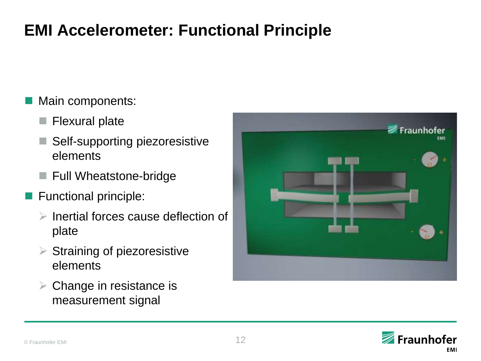# **EMI Accelerometer: Functional Principle**

#### Main components:

- **Flexural plate**
- Self-supporting piezoresistive elements
- Full Wheatstone-bridge
- **Functional principle:** 
	- $\triangleright$  Inertial forces cause deflection of plate
	- $\triangleright$  Straining of piezoresistive elements
	- $\triangleright$  Change in resistance is measurement signal



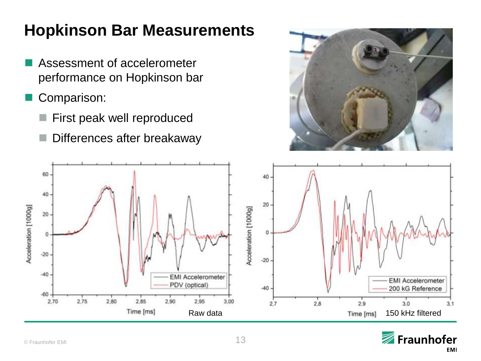# **Hopkinson Bar Measurements**

- Assessment of accelerometer performance on Hopkinson bar
- Comparison:
	- First peak well reproduced
	- Differences after breakaway





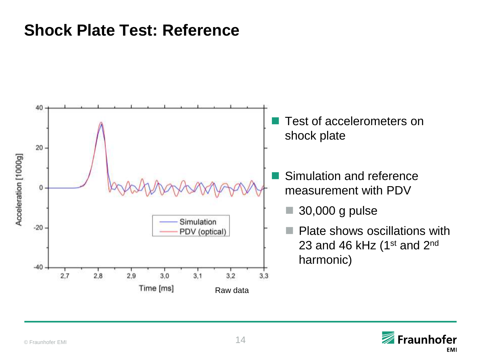### **Shock Plate Test: Reference**



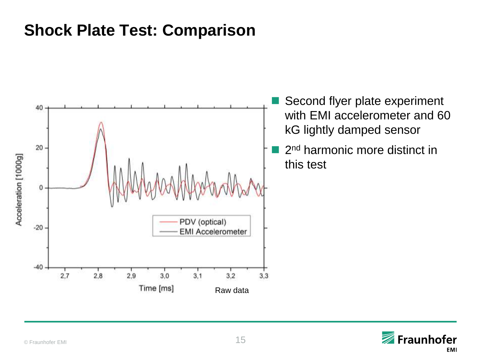### **Shock Plate Test: Comparison**



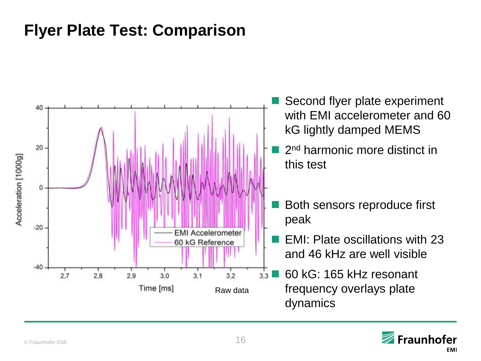### **Flyer Plate Test: Comparison**



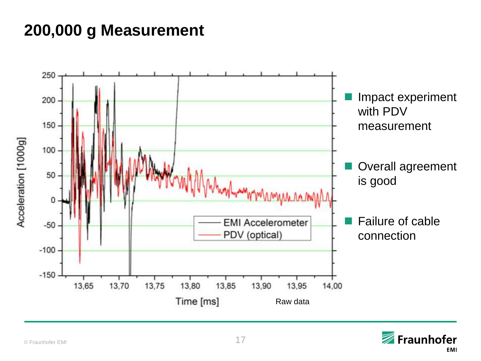# **200,000 g Measurement**



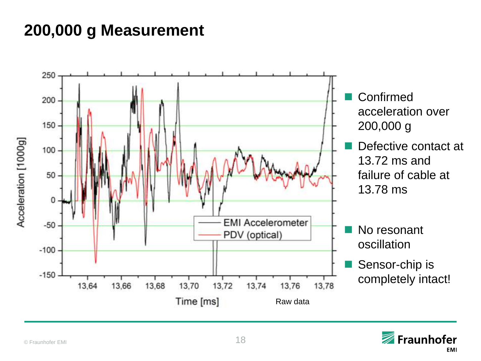# **200,000 g Measurement**



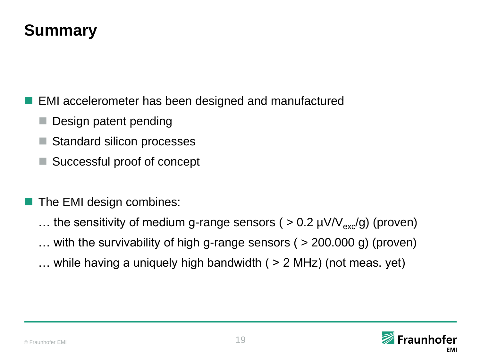### **Summary**

EMI accelerometer has been designed and manufactured

- Design patent pending
- Standard silicon processes
- Successful proof of concept
- The EMI design combines:
	- ... the sensitivity of medium g-range sensors (  $> 0.2 \mu V/V_{\text{ex}}/g$ ) (proven)
	- … with the survivability of high g-range sensors ( > 200.000 g) (proven)
	- $\ldots$  while having a uniquely high bandwidth ( $> 2$  MHz) (not meas. yet)

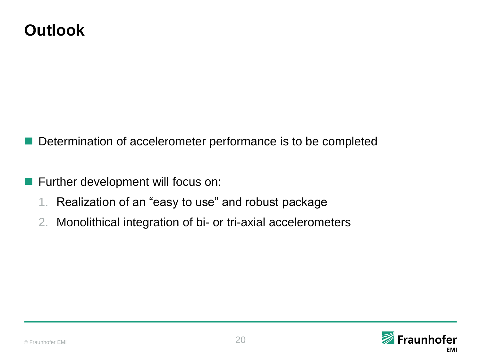### **Outlook**

Determination of accelerometer performance is to be completed

- **Further development will focus on:** 
	- 1. Realization of an "easy to use" and robust package
	- 2. Monolithical integration of bi- or tri-axial accelerometers